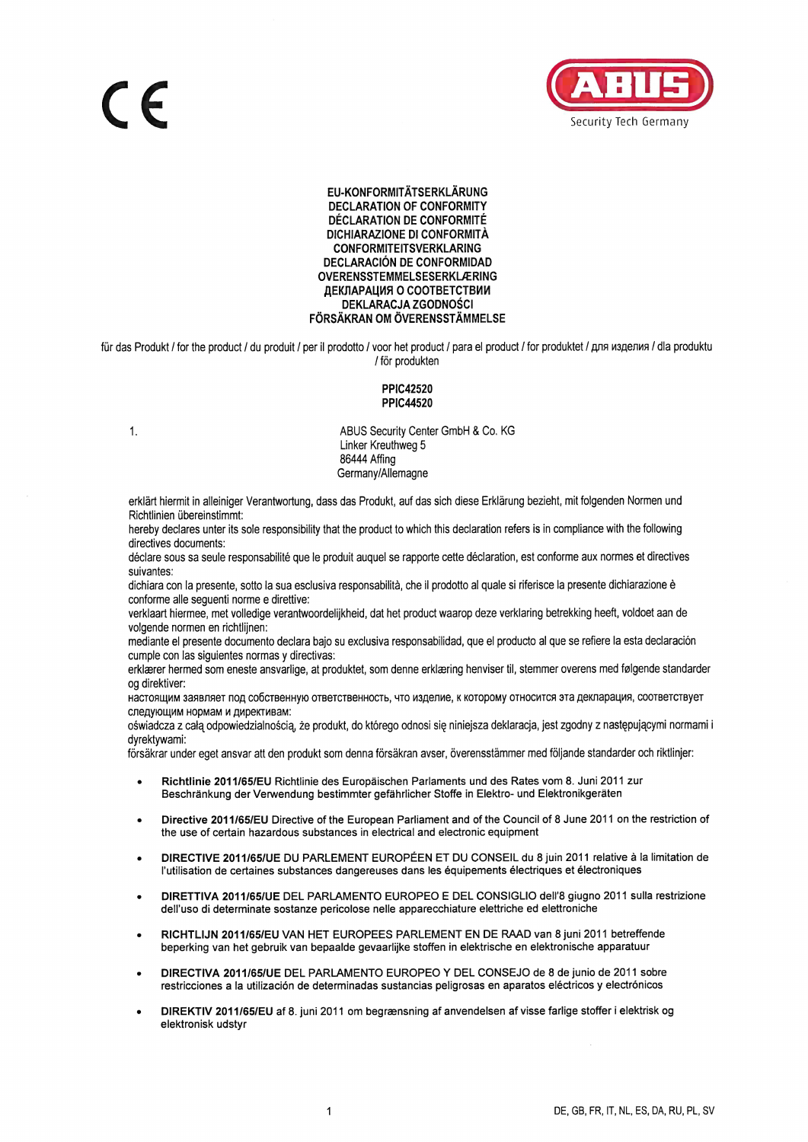

EU-KONFORMITÄTSERKLÄRUNG **DECLARATION OF CONFORMITY DÉCLARATION DE CONFORMITÉ** DICHIARAZIONE DI CONFORMITÀ **CONFORMITEITSVERKLARING DECLARACIÓN DE CONFORMIDAD OVERENSSTEMMELSESERKLÆRING** ДЕКЛАРАЦИЯ О СООТВЕТСТВИИ DEKLARACJA ZGODNOŚCI FÖRSÄKRAN OM ÖVERENSSTÄMMELSE

für das Produkt / for the product / du produit / per il prodotto / voor het product / para el product / for produktet / для изделия / dla produktu / för produkten

## **PPIC42520 PPIC44520**

 $1.$ 

ABUS Security Center GmbH & Co. KG Linker Kreuthweg 5 86444 Affing Germany/Allemagne

erklärt hiermit in alleiniger Verantwortung, dass das Produkt, auf das sich diese Erklärung bezieht, mit folgenden Normen und Richtlinien übereinstimmt:

hereby declares unter its sole responsibility that the product to which this declaration refers is in compliance with the following directives documents:

déclare sous sa seule responsabilité que le produit auquel se rapporte cette déclaration, est conforme aux normes et directives suivantes

dichiara con la presente, sotto la sua esclusiva responsabilità, che il prodotto al quale si riferisce la presente dichiarazione è conforme alle sequenti norme e direttive:

verklaart hiermee, met volledige verantwoordelijkheid, dat het product waarop deze verklaring betrekking heeft, voldoet aan de volgende normen en richtlijnen:

mediante el presente documento declara bajo su exclusiva responsabilidad, que el producto al que se refiere la esta declaración cumple con las siquientes normas y directivas:

erklærer hermed som eneste ansvarlige, at produktet, som denne erklæring henviser til, stemmer overens med følgende standarder og direktiver:

настоящим заявляет под собственную ответственность, что изделие, к которому относится эта декларация, соответствует следующим нормам и директивам:

oświadcza z całą odpowiedzialnością, że produkt, do którego odnosi się niniejsza deklaracja, jest zgodny z następującymi normami i dvrektvwami:

försäkrar under eget ansvar att den produkt som denna försäkran avser, överensstämmer med följande standarder och riktlinjer:

- Richtlinie 2011/65/EU Richtlinie des Europäischen Parlaments und des Rates vom 8. Juni 2011 zur Beschränkung der Verwendung bestimmter gefährlicher Stoffe in Elektro- und Elektronikgeräten
- Directive 2011/65/EU Directive of the European Parliament and of the Council of 8 June 2011 on the restriction of the use of certain hazardous substances in electrical and electronic equipment
- DIRECTIVE 2011/65/UE DU PARLEMENT EUROPÉEN ET DU CONSEIL du 8 juin 2011 relative à la limitation de l'utilisation de certaines substances dangereuses dans les équipements électriques et électroniques
- DIRETTIVA 2011/65/UE DEL PARLAMENTO EUROPEO E DEL CONSIGLIO dell'8 giugno 2011 sulla restrizione dell'uso di determinate sostanze pericolose nelle apparecchiature elettriche ed elettroniche
- RICHTLIJN 2011/65/EU VAN HET EUROPEES PARLEMENT EN DE RAAD van 8 juni 2011 betreffende beperking van het gebruik van bepaalde gevaarlijke stoffen in elektrische en elektronische apparatuur
- DIRECTIVA 2011/65/UE DEL PARLAMENTO EUROPEO Y DEL CONSEJO de 8 de junio de 2011 sobre restricciones a la utilización de determinadas sustancias peligrosas en aparatos eléctricos y electrónicos
- DIREKTIV 2011/65/EU af 8. juni 2011 om begrænsning af anvendelsen af visse farlige stoffer i elektrisk og elektronisk udstyr